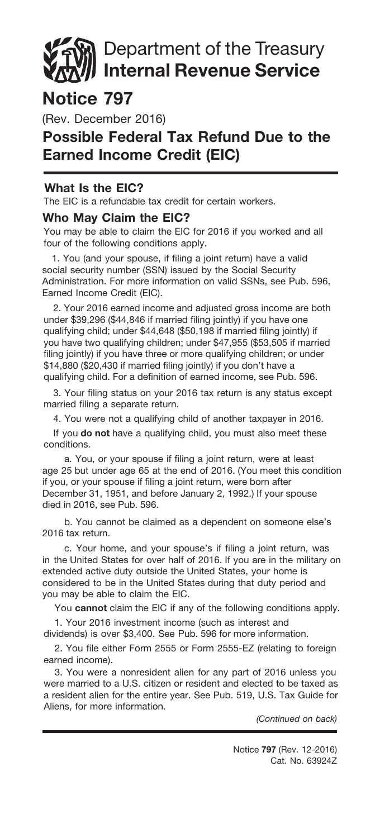# Department of the Treasury Internal Revenue Service

## Notice 797

(Rev. December 2016)

## Possible Federal Tax Refund Due to the Earned Income Credit (EIC)

#### What Is the EIC?

The EIC is a refundable tax credit for certain workers.

#### Who May Claim the EIC?

You may be able to claim the EIC for 2016 if you worked and all four of the following conditions apply.

1. You (and your spouse, if filing a joint return) have a valid social security number (SSN) issued by the Social Security Administration. For more information on valid SSNs, see Pub. 596, Earned Income Credit (EIC).

2. Your 2016 earned income and adjusted gross income are both under \$39,296 (\$44,846 if married filing jointly) if you have one qualifying child; under \$44,648 (\$50,198 if married filing jointly) if you have two qualifying children; under \$47,955 (\$53,505 if married filing jointly) if you have three or more qualifying children; or under \$14,880 (\$20,430 if married filing jointly) if you don't have a qualifying child. For a definition of earned income, see Pub. 596.

3. Your filing status on your 2016 tax return is any status except married filing a separate return.

4. You were not a qualifying child of another taxpayer in 2016.

If you do not have a qualifying child, you must also meet these conditions.

a. You, or your spouse if filing a joint return, were at least age 25 but under age 65 at the end of 2016. (You meet this condition if you, or your spouse if filing a joint return, were born after December 31, 1951, and before January 2, 1992.) If your spouse died in 2016, see Pub. 596.

b. You cannot be claimed as a dependent on someone else's 2016 tax return.

c. Your home, and your spouse's if filing a joint return, was in the United States for over half of 2016. If you are in the military on extended active duty outside the United States, your home is considered to be in the United States during that duty period and you may be able to claim the EIC.

You cannot claim the EIC if any of the following conditions apply.

1. Your 2016 investment income (such as interest and

dividends) is over \$3,400. See Pub. 596 for more information.

2. You file either Form 2555 or Form 2555-EZ (relating to foreign earned income).

3. You were a nonresident alien for any part of 2016 unless you were married to a U.S. citizen or resident and elected to be taxed as a resident alien for the entire year. See Pub. 519, U.S. Tax Guide for Aliens, for more information.

*(Continued on back)*